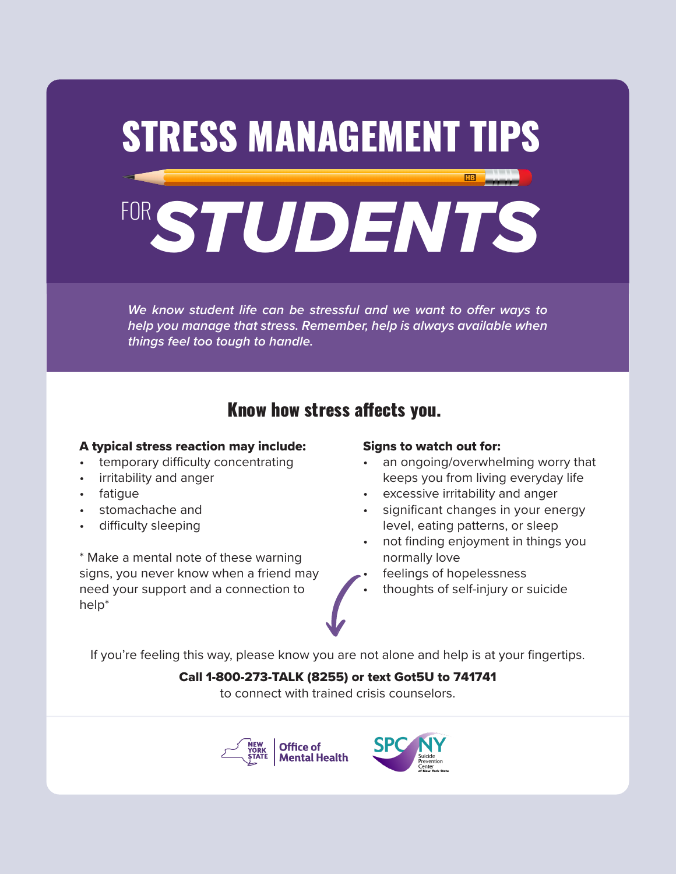

*We know student life can be stressful and we want to offer ways to help you manage that stress. Remember, help is always available when things feel too tough to handle.*

# Know how stress affects you.

### A typical stress reaction may include:

- temporary difficulty concentrating
- irritability and anger
- fatigue
- stomachache and
- difficulty sleeping

\* Make a mental note of these warning signs, you never know when a friend may need your support and a connection to help\*

### Signs to watch out for:

- an ongoing/overwhelming worry that keeps you from living everyday life
- excessive irritability and anger
- significant changes in your energy level, eating patterns, or sleep
- not finding enjoyment in things you normally love
- feelings of hopelessness
- thoughts of self-injury or suicide

If you're feeling this way, please know you are not alone and help is at your fingertips.

### Call 1-800-273-TALK (8255) or text Got5U to 741741

to connect with trained crisis counselors.